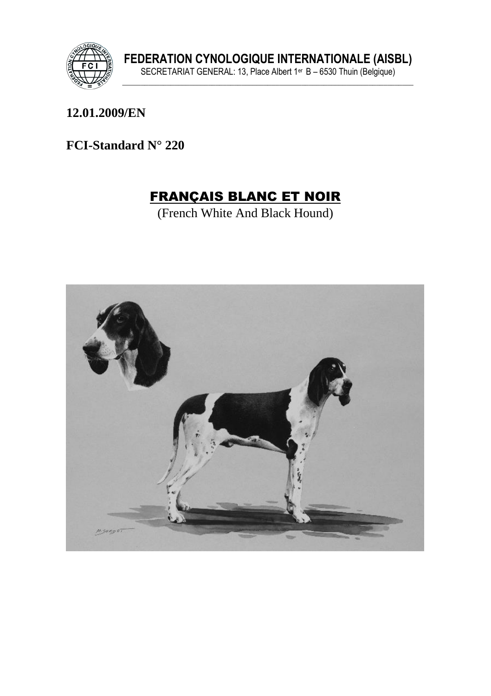

12.01.2009/EN

FCI-Standard N° 220

# **FRANÇAIS BLANC ET NOIR**

(French White And Black Hound)

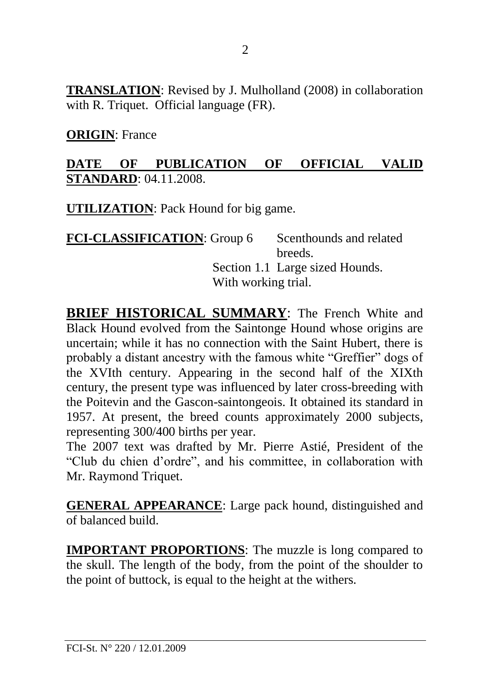**TRANSLATION**: Revised by J. Mulholland (2008) in collaboration with R. Triquet. Official language (FR).

**ORIGIN**: France

## **DATE OF PUBLICATION OF OFFICIAL VALID STANDARD**: 04.11.2008.

**UTILIZATION**: Pack Hound for big game.

| <b>FCI-CLASSIFICATION: Group 6</b> | Scenthounds and related         |
|------------------------------------|---------------------------------|
|                                    | breeds.                         |
|                                    | Section 1.1 Large sized Hounds. |
| With working trial.                |                                 |

**BRIEF HISTORICAL SUMMARY:** The French White and Black Hound evolved from the Saintonge Hound whose origins are uncertain; while it has no connection with the Saint Hubert, there is probably a distant ancestry with the famous white "Greffier" dogs of the XVIth century. Appearing in the second half of the XIXth century, the present type was influenced by later cross-breeding with the Poitevin and the Gascon-saintongeois. It obtained its standard in 1957. At present, the breed counts approximately 2000 subjects, representing 300/400 births per year.

The 2007 text was drafted by Mr. Pierre Astié, President of the "Club du chien d'ordre", and his committee, in collaboration with Mr. Raymond Triquet.

**GENERAL APPEARANCE**: Large pack hound, distinguished and of balanced build.

**IMPORTANT PROPORTIONS**: The muzzle is long compared to the skull. The length of the body, from the point of the shoulder to the point of buttock, is equal to the height at the withers.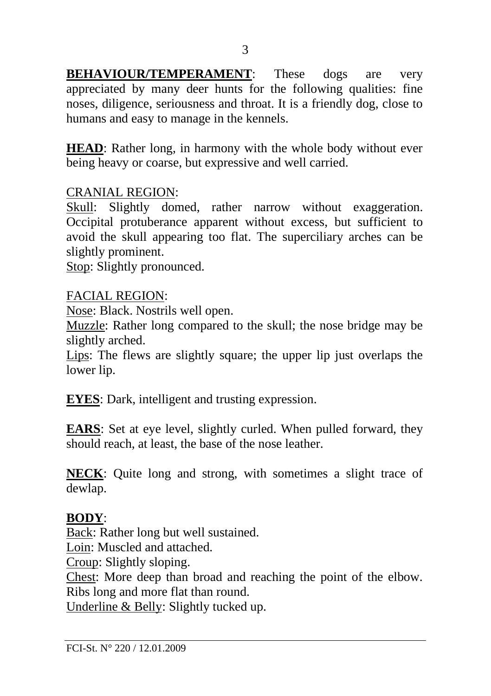**BEHAVIOUR/TEMPERAMENT:** These dogs are very appreciated by many deer hunts for the following qualities: fine noses, diligence, seriousness and throat. It is a friendly dog, close to humans and easy to manage in the kennels.

**HEAD**: Rather long, in harmony with the whole body without ever being heavy or coarse, but expressive and well carried.

### CRANIAL REGION:

Skull: Slightly domed, rather narrow without exaggeration. Occipital protuberance apparent without excess, but sufficient to avoid the skull appearing too flat. The superciliary arches can be slightly prominent.

Stop: Slightly pronounced.

#### FACIAL REGION:

Nose: Black. Nostrils well open.

Muzzle: Rather long compared to the skull; the nose bridge may be slightly arched.

Lips: The flews are slightly square; the upper lip just overlaps the lower lip.

**EYES**: Dark, intelligent and trusting expression.

**EARS**: Set at eye level, slightly curled. When pulled forward, they should reach, at least, the base of the nose leather.

**NECK**: Quite long and strong, with sometimes a slight trace of dewlap.

#### **BODY**:

Back: Rather long but well sustained. Loin: Muscled and attached. Croup: Slightly sloping. Chest: More deep than broad and reaching the point of the elbow.

Ribs long and more flat than round.

Underline & Belly: Slightly tucked up.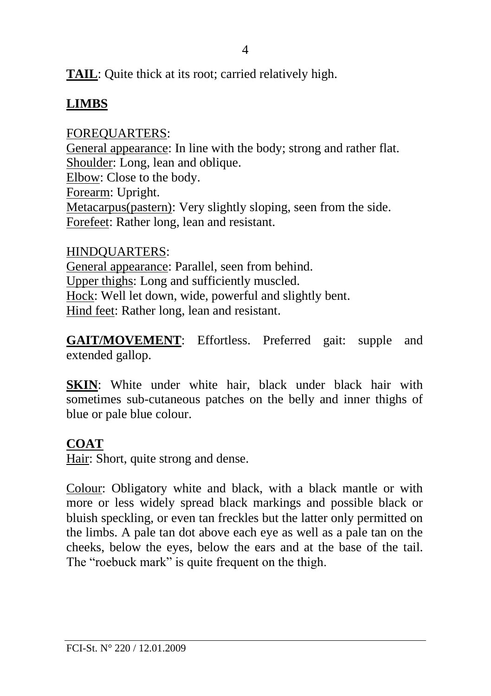**TAIL**: Quite thick at its root; carried relatively high.

# **LIMBS**

## FOREQUARTERS:

General appearance: In line with the body; strong and rather flat. Shoulder: Long, lean and oblique. Elbow: Close to the body. Forearm: Upright. Metacarpus(pastern): Very slightly sloping, seen from the side. Forefeet: Rather long, lean and resistant.

HINDQUARTERS: General appearance: Parallel, seen from behind. Upper thighs: Long and sufficiently muscled. Hock: Well let down, wide, powerful and slightly bent. Hind feet: Rather long, lean and resistant.

**GAIT/MOVEMENT**: Effortless. Preferred gait: supple and extended gallop.

**SKIN**: White under white hair, black under black hair with sometimes sub-cutaneous patches on the belly and inner thighs of blue or pale blue colour.

## **COAT**

Hair: Short, quite strong and dense.

Colour: Obligatory white and black, with a black mantle or with more or less widely spread black markings and possible black or bluish speckling, or even tan freckles but the latter only permitted on the limbs. A pale tan dot above each eye as well as a pale tan on the cheeks, below the eyes, below the ears and at the base of the tail. The "roebuck mark" is quite frequent on the thigh.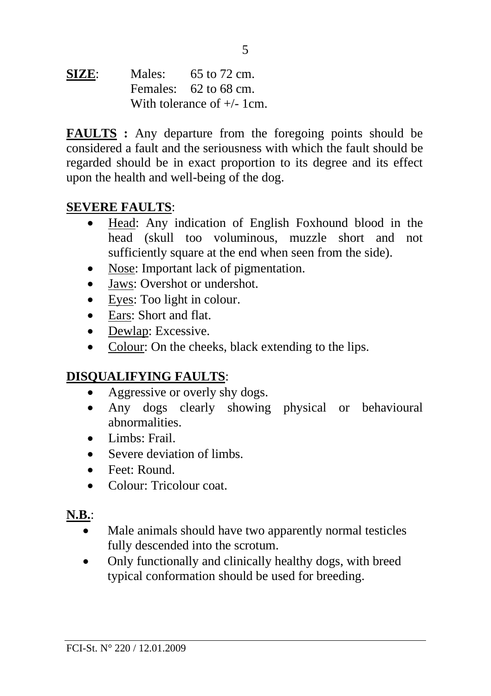**SIZE:** Males: 65 to 72 cm. Females: 62 to 68 cm. With tolerance of  $+/- 1$ cm.

**FAULTS :** Any departure from the foregoing points should be considered a fault and the seriousness with which the fault should be regarded should be in exact proportion to its degree and its effect upon the health and well-being of the dog.

### **SEVERE FAULTS**:

- Head: Any indication of English Foxhound blood in the head (skull too voluminous, muzzle short and not sufficiently square at the end when seen from the side).
- Nose: Important lack of pigmentation.
- Jaws: Overshot or undershot.
- Eyes: Too light in colour.
- Ears: Short and flat.
- Dewlap: Excessive.
- Colour: On the cheeks, black extending to the lips.

## **DISQUALIFYING FAULTS**:

- Aggressive or overly shy dogs.
- Any dogs clearly showing physical or behavioural abnormalities.
- Limbs: Frail.
- Severe deviation of limbs.
- Feet: Round.
- Colour: Tricolour coat.

### **N.B.**:

- Male animals should have two apparently normal testicles fully descended into the scrotum.
- Only functionally and clinically healthy dogs, with breed typical conformation should be used for breeding.